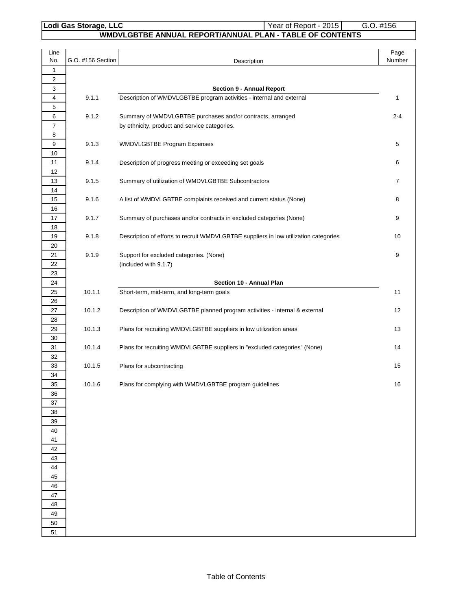# Lodi Gas Storage, LLC<br>
Year of Report - 2015 G.O. #156

## **WMDVLGBTBE ANNUAL REPORT/ANNUAL PLAN - TABLE OF CONTENTS**

| Line<br>No.    | G.O. #156 Section | Description                                                                          | Page<br>Number |
|----------------|-------------------|--------------------------------------------------------------------------------------|----------------|
| 1              |                   |                                                                                      |                |
| 2              |                   |                                                                                      |                |
| 3              |                   | <b>Section 9 - Annual Report</b>                                                     |                |
| 4              | 9.1.1             | Description of WMDVLGBTBE program activities - internal and external                 | $\mathbf{1}$   |
| 5              |                   |                                                                                      |                |
| 6              | 9.1.2             | Summary of WMDVLGBTBE purchases and/or contracts, arranged                           | $2 - 4$        |
| $\overline{7}$ |                   | by ethnicity, product and service categories.                                        |                |
| 8              |                   |                                                                                      |                |
| 9              | 9.1.3             | WMDVLGBTBE Program Expenses                                                          | 5              |
| 10<br>11       | 9.1.4             | Description of progress meeting or exceeding set goals                               | 6              |
| 12             |                   |                                                                                      |                |
| 13             | 9.1.5             | Summary of utilization of WMDVLGBTBE Subcontractors                                  | $\overline{7}$ |
| 14             |                   |                                                                                      |                |
| 15             | 9.1.6             | A list of WMDVLGBTBE complaints received and current status (None)                   | 8              |
| 16             |                   |                                                                                      |                |
| 17             | 9.1.7             | Summary of purchases and/or contracts in excluded categories (None)                  | 9              |
| 18             |                   |                                                                                      |                |
| 19             | 9.1.8             | Description of efforts to recruit WMDVLGBTBE suppliers in low utilization categories | 10             |
| 20             |                   |                                                                                      |                |
| 21             | 9.1.9             | Support for excluded categories. (None)                                              | 9              |
| 22             |                   | (included with 9.1.7)                                                                |                |
| 23             |                   |                                                                                      |                |
| 24<br>25       | 10.1.1            | Section 10 - Annual Plan<br>Short-term, mid-term, and long-term goals                | 11             |
| 26             |                   |                                                                                      |                |
| 27             | 10.1.2            | Description of WMDVLGBTBE planned program activities - internal & external           | 12             |
| 28             |                   |                                                                                      |                |
| 29             | 10.1.3            | Plans for recruiting WMDVLGBTBE suppliers in low utilization areas                   | 13             |
| 30             |                   |                                                                                      |                |
| 31             | 10.1.4            | Plans for recruiting WMDVLGBTBE suppliers in "excluded categories" (None)            | 14             |
| 32             |                   |                                                                                      |                |
| 33             | 10.1.5            | Plans for subcontracting                                                             | 15             |
| 34             |                   |                                                                                      |                |
| 35             | 10.1.6            | Plans for complying with WMDVLGBTBE program guidelines                               | 16             |
| 36<br>37       |                   |                                                                                      |                |
| 38             |                   |                                                                                      |                |
| 39             |                   |                                                                                      |                |
| 40             |                   |                                                                                      |                |
| 41             |                   |                                                                                      |                |
| 42             |                   |                                                                                      |                |
| 43             |                   |                                                                                      |                |
| 44             |                   |                                                                                      |                |
| 45             |                   |                                                                                      |                |
| 46             |                   |                                                                                      |                |
| 47<br>48       |                   |                                                                                      |                |
| 49             |                   |                                                                                      |                |
| 50             |                   |                                                                                      |                |
| 51             |                   |                                                                                      |                |
|                |                   |                                                                                      |                |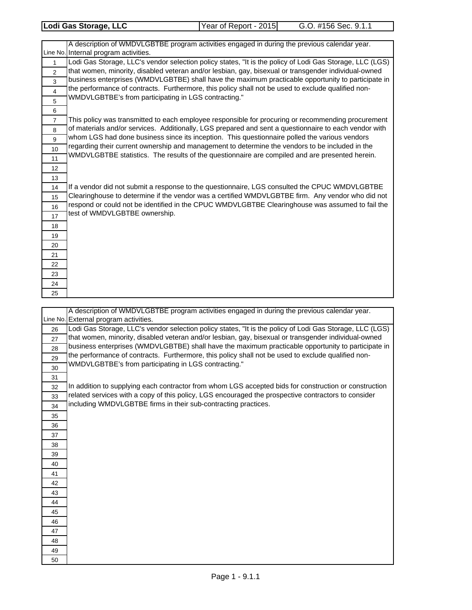| Lodi Gas Storage, LLC | Year of Report - 2015 | G.O. #156 Sec. 9.1.1 |
|-----------------------|-----------------------|----------------------|
|                       |                       |                      |
|                       |                       |                      |

 

Line No. If a vendor did not submit a response to the questionnaire, LGS consulted the CPUC WMDVLGBTBE Clearinghouse to determine if the vendor was a certified WMDVLGBTBE firm. Any vendor who did not respond or could not be identified in the CPUC WMDVLGBTBE Clearinghouse was assumed to fail the test of WMDVLGBTBE ownership. A description of WMDVLGBTBE program activities engaged in during the previous calendar year. Internal program activities. Lodi Gas Storage, LLC's vendor selection policy states, "It is the policy of Lodi Gas Storage, LLC (LGS) that women, minority, disabled veteran and/or lesbian, gay, bisexual or transgender individual-owned business enterprises (WMDVLGBTBE) shall have the maximum practicable opportunity to participate in the performance of contracts. Furthermore, this policy shall not be used to exclude qualified non-WMDVLGBTBE's from participating in LGS contracting." This policy was transmitted to each employee responsible for procuring or recommending procurement of materials and/or services. Additionally, LGS prepared and sent a questionnaire to each vendor with whom LGS had done business since its inception. This questionnaire polled the various vendors regarding their current ownership and management to determine the vendors to be included in the WMDVLGBTBE statistics. The results of the questionnaire are compiled and are presented herein.

|    | A description of WMDVLGBTBE program activities engaged in during the previous calendar year.             |
|----|----------------------------------------------------------------------------------------------------------|
|    | Line No. External program activities.                                                                    |
| 26 | Lodi Gas Storage, LLC's vendor selection policy states, "It is the policy of Lodi Gas Storage, LLC (LGS) |
| 27 | that women, minority, disabled veteran and/or lesbian, gay, bisexual or transgender individual-owned     |
| 28 | business enterprises (WMDVLGBTBE) shall have the maximum practicable opportunity to participate in       |
| 29 | the performance of contracts. Furthermore, this policy shall not be used to exclude qualified non-       |
| 30 | WMDVLGBTBE's from participating in LGS contracting."                                                     |
| 31 |                                                                                                          |
| 32 | In addition to supplying each contractor from whom LGS accepted bids for construction or construction    |
| 33 | related services with a copy of this policy, LGS encouraged the prospective contractors to consider      |
| 34 | including WMDVLGBTBE firms in their sub-contracting practices.                                           |
| 35 |                                                                                                          |
| 36 |                                                                                                          |
| 37 |                                                                                                          |
| 38 |                                                                                                          |
| 39 |                                                                                                          |
| 40 |                                                                                                          |
| 41 |                                                                                                          |
| 42 |                                                                                                          |
| 43 |                                                                                                          |
| 44 |                                                                                                          |
| 45 |                                                                                                          |
| 46 |                                                                                                          |
| 47 |                                                                                                          |
| 48 |                                                                                                          |
| 49 |                                                                                                          |
| 50 |                                                                                                          |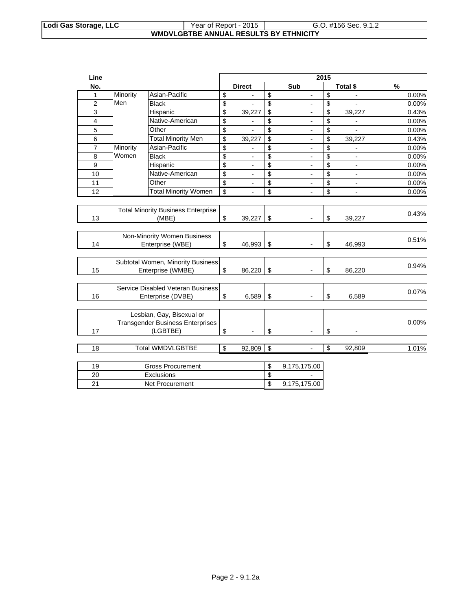#### **Lodi Gas Storage, LLC**  $\vert$  Year of Report - 2015  $\vert$  G.O. #156 Sec. 9.1.2 **WMDVLGBTBE ANNUAL RESULTS BY ETHNICITY**

| Line                    |          |                                           |                         |                          |                         |                              | 2015 |                              |       |
|-------------------------|----------|-------------------------------------------|-------------------------|--------------------------|-------------------------|------------------------------|------|------------------------------|-------|
| No.                     |          |                                           |                         | <b>Direct</b>            |                         | Sub                          |      | Total \$                     | %     |
| $\mathbf 1$             | Minority | Asian-Pacific                             | \$                      |                          | \$                      |                              | \$   |                              | 0.00% |
| $\overline{2}$          | Men      | <b>Black</b>                              | \$                      |                          | \$                      |                              | \$   |                              | 0.00% |
| $\overline{3}$          |          | Hispanic                                  | \$                      | 39,227                   | $\overline{\mathbf{S}}$ | $\overline{\phantom{a}}$     | \$   | 39,227                       | 0.43% |
| $\overline{\mathbf{4}}$ |          | Native-American                           | \$                      | -                        | \$                      | $\overline{\phantom{a}}$     | \$   |                              | 0.00% |
| 5                       |          | Other                                     | \$                      |                          | \$                      | $\overline{\phantom{a}}$     | \$   |                              | 0.00% |
| 6                       |          | <b>Total Minority Men</b>                 | \$                      | 39,227                   | \$                      | $\blacksquare$               | \$   | 39,227                       | 0.43% |
| $\overline{7}$          | Minority | Asian-Pacific                             | \$                      |                          | \$                      |                              | \$   |                              | 0.00% |
| 8                       | Women    | <b>Black</b>                              | \$                      |                          | \$                      |                              | \$   |                              | 0.00% |
| 9                       |          | Hispanic                                  | \$                      | $\overline{a}$           | \$                      |                              | \$   | $\overline{a}$               | 0.00% |
| 10                      |          | Native-American                           | \$                      |                          | $\overline{\$}$         |                              | \$   | $\overline{a}$               | 0.00% |
| 11                      |          | Other                                     | \$                      | $\overline{\phantom{a}}$ | \$                      | $\qquad \qquad \blacksquare$ | \$   | $\qquad \qquad \blacksquare$ | 0.00% |
| 12                      |          | <b>Total Minority Women</b>               | $\overline{\mathsf{s}}$ | $\overline{\phantom{a}}$ | \$                      | $\overline{\phantom{a}}$     | \$   | $\overline{a}$               | 0.00% |
|                         |          |                                           |                         |                          |                         |                              |      |                              |       |
|                         |          | <b>Total Minority Business Enterprise</b> |                         |                          |                         |                              |      |                              | 0.43% |
| 13                      |          | (MBE)                                     | \$                      | 39,227                   | \$                      | $\blacksquare$               | \$   | 39,227                       |       |
|                         |          |                                           |                         |                          |                         |                              |      |                              |       |
|                         |          | Non-Minority Women Business               |                         |                          |                         |                              |      |                              | 0.51% |
| 14                      |          | Enterprise (WBE)                          | \$                      | 46,993                   | \$                      |                              | \$   | 46,993                       |       |
|                         |          | Subtotal Women, Minority Business         |                         |                          |                         |                              |      |                              |       |
| 15                      |          | Enterprise (WMBE)                         | \$                      | 86,220                   | \$                      | $\blacksquare$               | \$   | 86,220                       | 0.94% |
|                         |          |                                           |                         |                          |                         |                              |      |                              |       |
|                         |          | Service Disabled Veteran Business         |                         |                          |                         |                              |      |                              |       |
| 16                      |          | Enterprise (DVBE)                         | \$                      | 6,589                    | \$                      |                              | \$   | 6,589                        | 0.07% |
|                         |          |                                           |                         |                          |                         |                              |      |                              |       |
|                         |          | Lesbian, Gay, Bisexual or                 |                         |                          |                         |                              |      |                              |       |
|                         |          | <b>Transgender Business Enterprises</b>   |                         |                          |                         |                              |      |                              | 0.00% |
| 17                      |          | (LGBTBE)                                  | \$                      | $\blacksquare$           | \$                      | $\blacksquare$               | \$   | $\overline{a}$               |       |
|                         |          |                                           |                         |                          |                         |                              |      |                              |       |
| 18                      |          | <b>Total WMDVLGBTBE</b>                   | \$                      | 92,809                   | \$                      | $\overline{a}$               | \$   | 92,809                       | 1.01% |
|                         |          |                                           |                         |                          |                         |                              |      |                              |       |
| 19                      |          | <b>Gross Procurement</b>                  |                         |                          | \$                      | 9,175,175.00                 |      |                              |       |
| 20                      |          | Exclusions                                |                         |                          | $\overline{\mathbb{S}}$ | $\blacksquare$               |      |                              |       |

21 | Net Procurement | \$9,175,175.00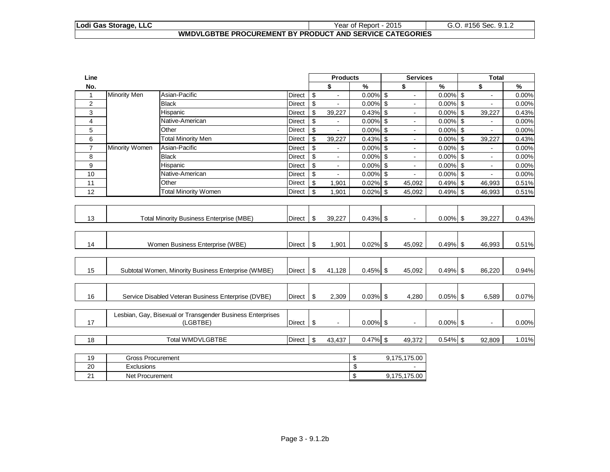#### **Lodi Gas Storage, LLC** Year of Report - 2015 G.O. #156 Sec. 9.1.2 **WMDVLGBTBE PROCUREMENT BY PRODUCT AND SERVICE CATEGORIES**

| Line           |                                 |                                                            |               |                           | <b>Products</b> |             | <b>Services</b> |             | <b>Total</b> |                |       |
|----------------|---------------------------------|------------------------------------------------------------|---------------|---------------------------|-----------------|-------------|-----------------|-------------|--------------|----------------|-------|
| No.            |                                 |                                                            |               |                           | \$              | %           | \$              | %           |              | \$             | %     |
| $\mathbf{1}$   | <b>Minority Men</b>             | Asian-Pacific                                              | Direct        | $\boldsymbol{\mathsf{S}}$ |                 | $0.00\%$ \$ | ÷.              | $0.00\%$ \$ |              |                | 0.00% |
| 2              |                                 | <b>Black</b>                                               | Direct        | $\boldsymbol{\mathsf{S}}$ |                 | $0.00\%$ \$ | $\blacksquare$  | $0.00\%$ \$ |              |                | 0.00% |
| 3              |                                 | Hispanic                                                   | Direct        | $\boldsymbol{\mathsf{S}}$ | 39,227          | $0.43\%$ \$ | $\mathbf{r}$    | $0.00\%$    | $\mathbb{S}$ | 39,227         | 0.43% |
| 4              |                                 | Native-American                                            | Direct        | \$                        |                 | $0.00\%$ \$ | $\blacksquare$  | $0.00\%$ \$ |              |                | 0.00% |
| 5              |                                 | Other                                                      | Direct        | \$                        |                 | $0.00\%$ \$ |                 | $0.00\%$ \$ |              |                | 0.00% |
| 6              |                                 | <b>Total Minority Men</b>                                  | Direct        | \$                        | 39,227          | $0.43\%$ \$ | $\blacksquare$  | $0.00\%$ \$ |              | 39,227         | 0.43% |
| $\overline{7}$ | Minority Women                  | Asian-Pacific                                              | <b>Direct</b> | \$                        | ÷               | $0.00\%$ \$ | $\blacksquare$  | $0.00\%$ \$ |              | $\blacksquare$ | 0.00% |
| 8              |                                 | <b>Black</b>                                               | Direct        | $\boldsymbol{\mathsf{S}}$ | $\blacksquare$  | $0.00\%$ \$ | ÷               | $0.00\%$ \$ |              | $\blacksquare$ | 0.00% |
| 9              |                                 | Hispanic                                                   | <b>Direct</b> | $\boldsymbol{\mathsf{S}}$ | $\blacksquare$  | $0.00\%$ \$ | ÷               | $0.00\%$ \$ |              |                | 0.00% |
| 10             |                                 | Native-American                                            | Direct        | $\boldsymbol{\mathsf{S}}$ | $\blacksquare$  | $0.00\%$ \$ | ÷               | $0.00\%$ \$ |              |                | 0.00% |
| 11             |                                 | Other                                                      | Direct        | $\mathfrak{S}$            | 1,901           | $0.02\%$ \$ | 45,092          | 0.49% \$    |              | 46,993         | 0.51% |
| 12             |                                 | <b>Total Minority Women</b>                                | Direct        | $\boldsymbol{\mathsf{S}}$ | 1,901           | $0.02\%$ \$ | 45,092          | 0.49% \$    |              | 46,993         | 0.51% |
|                |                                 |                                                            |               |                           |                 |             |                 |             |              |                |       |
|                |                                 |                                                            |               |                           |                 |             |                 |             |              |                |       |
| 13             |                                 | <b>Total Minority Business Enterprise (MBE)</b>            | Direct        | \$                        | 39,227          | $0.43\%$ \$ | $\blacksquare$  | $0.00\%$ \$ |              | 39,227         | 0.43% |
|                |                                 |                                                            |               |                           |                 |             |                 |             |              |                |       |
|                |                                 |                                                            |               |                           |                 |             |                 |             |              |                |       |
| 14             | Women Business Enterprise (WBE) |                                                            | <b>Direct</b> | $\boldsymbol{\mathsf{S}}$ | 1,901           | $0.02\%$ \$ | 45,092          | $0.49%$ \$  |              | 46,993         | 0.51% |
|                |                                 |                                                            |               |                           |                 |             |                 |             |              |                |       |
|                |                                 |                                                            |               |                           |                 |             |                 |             |              |                |       |
| 15             |                                 | Subtotal Women, Minority Business Enterprise (WMBE)        | Direct        | \$                        | 41,128          | $0.45\%$ \$ | 45,092          | $0.49%$ \$  |              | 86,220         | 0.94% |
|                |                                 |                                                            |               |                           |                 |             |                 |             |              |                |       |
|                |                                 |                                                            |               |                           |                 |             |                 |             |              |                |       |
| 16             |                                 | Service Disabled Veteran Business Enterprise (DVBE)        | <b>Direct</b> | \$                        | 2,309           | $0.03\%$ \$ | 4,280           | $0.05\%$ \$ |              | 6,589          | 0.07% |
|                |                                 |                                                            |               |                           |                 |             |                 |             |              |                |       |
|                |                                 | Lesbian, Gay, Bisexual or Transgender Business Enterprises |               |                           |                 |             |                 |             |              |                |       |
| 17             |                                 | (LGBTBE)                                                   | Direct        | \$                        | $\sim$          | $0.00\%$ \$ | $\blacksquare$  | $0.00\%$ \$ |              | $\blacksquare$ | 0.00% |
|                |                                 |                                                            |               |                           |                 |             |                 |             |              |                |       |
| 18             |                                 | <b>Total WMDVLGBTBE</b>                                    | Direct        | \$                        | 43,437          | $0.47\%$ \$ | 49,372          | $0.54\%$ \$ |              | 92,809         | 1.01% |
|                |                                 |                                                            |               |                           |                 |             |                 |             |              |                |       |
| 19             | <b>Gross Procurement</b>        |                                                            |               |                           |                 | \$          | 9,175,175.00    |             |              |                |       |
| 20             | Exclusions                      |                                                            |               |                           |                 | \$          |                 |             |              |                |       |
| 21             | Net Procurement                 |                                                            |               |                           |                 | \$          | 9,175,175.00    |             |              |                |       |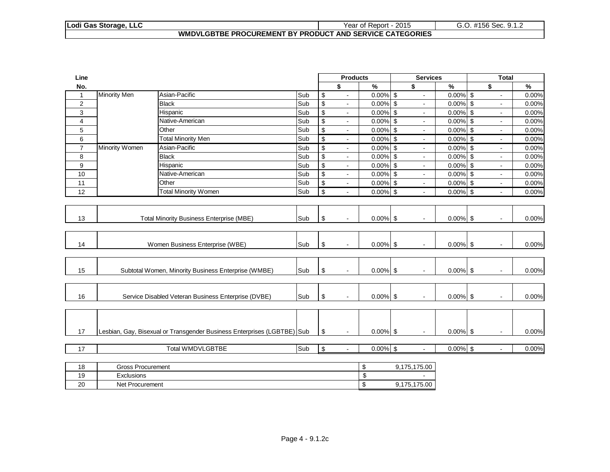#### **Lodi Gas Storage, LLC** Year of Report - 2015 G.O. #156 Sec. 9.1.2 **WMDVLGBTBE PROCUREMENT BY PRODUCT AND SERVICE CATEGORIES**

| Line           |                     |                                                                         |     |                          | <b>Products</b> |                           | <b>Services</b> |                          |                           | <b>Total</b>   |               |
|----------------|---------------------|-------------------------------------------------------------------------|-----|--------------------------|-----------------|---------------------------|-----------------|--------------------------|---------------------------|----------------|---------------|
| No.            |                     |                                                                         |     |                          | \$              | %                         | \$              | $\overline{\mathcal{C}}$ | \$                        |                | $\frac{9}{6}$ |
| $\mathbf{1}$   | <b>Minority Men</b> | Asian-Pacific                                                           | Sub | \$                       | $\sim$          | $0.00\%$ \$               |                 | 0.00%                    | $\sqrt[6]{\frac{1}{2}}$   |                | 0.00%         |
| 2              |                     | <b>Black</b>                                                            | Sub | $\overline{\$}$          | $\sim$          | $0.00\sqrt{8}$ \$         | $\sim$          | 0.00%                    | $\overline{\mathbf{s}}$   | $\blacksquare$ | 0.00%         |
| 3              |                     | Hispanic                                                                | Sub | $\overline{\$}$          | $\blacksquare$  | $0.00\sqrt{8}$ \$         |                 | $0.00\%$ \$              |                           |                | 0.00%         |
| $\overline{4}$ |                     | Native-American                                                         | Sub | $\sqrt[6]{\frac{1}{2}}$  | $\blacksquare$  | $0.00\%$ \$               | $\sim$          | $0.00\%$ \$              |                           | $\blacksquare$ | 0.00%         |
| 5              |                     | Other                                                                   | Sub | $\overline{\mathcal{L}}$ | $\blacksquare$  | $0.00\%$ \$               |                 | 0.00%                    | $\boldsymbol{\mathsf{S}}$ |                | 0.00%         |
| 6              |                     | <b>Total Minority Men</b>                                               | Sub | $\overline{\mathbf{S}}$  | $\blacksquare$  | $0.00\%$ \$               | $\blacksquare$  | $0.00\%$ \$              |                           | $\blacksquare$ | 0.00%         |
| $\overline{7}$ | Minority Women      | Asian-Pacific                                                           | Sub | $\overline{\mathcal{L}}$ | $\blacksquare$  | $0.00\%$ \$               | $\blacksquare$  | $0.00\%$ \$              |                           | $\blacksquare$ | 0.00%         |
| 8              |                     | <b>Black</b>                                                            | Sub | \$                       | $\blacksquare$  | $0.00\%$ \$               | $\sim$          | $0.00\%$ \$              |                           | $\blacksquare$ | 0.00%         |
| 9              |                     | Hispanic                                                                | Sub | $\overline{\$}$          | $\blacksquare$  | $0.00\%$ \$               | $\sim$          | 0.00%                    | $\sqrt[6]{3}$             | $\blacksquare$ | 0.00%         |
| 10             |                     | Native-American                                                         | Sub | \$                       | $\blacksquare$  | $0.00\%$ \$               | $\sim$          | $0.00\%$ \$              |                           | $\sim$         | 0.00%         |
| 11             |                     | Other                                                                   | Sub | $\overline{\mathcal{L}}$ | $\blacksquare$  | $0.00\%$ \$               | $\sim$          | $0.00\%$ \$              |                           | $\blacksquare$ | 0.00%         |
| 12             |                     | <b>Total Minority Women</b>                                             | Sub | $\mathbb S$              | $\blacksquare$  | $0.00\%$ \$               | $\blacksquare$  | 0.00%                    | \$                        | $\blacksquare$ | 0.00%         |
|                |                     |                                                                         |     |                          |                 |                           |                 |                          |                           |                |               |
|                |                     |                                                                         |     |                          |                 |                           |                 |                          |                           |                |               |
| 13             |                     | <b>Total Minority Business Enterprise (MBE)</b>                         | Sub | $\,$                     |                 | $0.00\%$ \$               | $\blacksquare$  | $0.00\%$ \$              |                           | $\blacksquare$ | 0.00%         |
|                |                     |                                                                         |     |                          |                 |                           |                 |                          |                           |                |               |
|                |                     |                                                                         |     |                          |                 |                           |                 |                          |                           |                |               |
| 14             |                     | Women Business Enterprise (WBE)                                         | Sub | $\,$                     | $\sim$          | $0.00\%$ \$               | $\mathbf{u}$    | $0.00\%$ \$              |                           | $\sim$         | 0.00%         |
|                |                     |                                                                         |     |                          |                 |                           |                 |                          |                           |                |               |
|                |                     |                                                                         |     |                          |                 |                           |                 |                          |                           |                |               |
| 15             |                     | Subtotal Women, Minority Business Enterprise (WMBE)                     | Sub | $\,$                     | $\sim$          | $0.00\%$ \$               | $\sim$          | $0.00\%$ \$              |                           |                | 0.00%         |
|                |                     |                                                                         |     |                          |                 |                           |                 |                          |                           |                |               |
|                |                     |                                                                         |     |                          |                 |                           |                 |                          |                           |                |               |
| 16             |                     | Service Disabled Veteran Business Enterprise (DVBE)                     | Sub | $\,$                     | $\blacksquare$  | $0.00\%$ \$               | $\blacksquare$  | $0.00\%$ \$              |                           | $\blacksquare$ | 0.00%         |
|                |                     |                                                                         |     |                          |                 |                           |                 |                          |                           |                |               |
|                |                     |                                                                         |     |                          |                 |                           |                 |                          |                           |                |               |
|                |                     |                                                                         |     |                          |                 |                           |                 |                          |                           |                |               |
| 17             |                     | Lesbian, Gay, Bisexual or Transgender Business Enterprises (LGBTBE) Sub |     | \$                       | $\mathbf{r}$    | $0.00\%$ \$               | $\sim$          | $0.00\%$ \$              |                           | $\sim$         | 0.00%         |
|                |                     |                                                                         |     |                          |                 |                           |                 |                          |                           |                |               |
| 17             |                     | <b>Total WMDVLGBTBE</b>                                                 | Sub | \$                       | $\mathbf{r}$    | $0.00\%$ \$               | $\sim$          | $0.00\%$ \$              |                           | $\mathbf{r}$   | 0.00%         |
|                |                     |                                                                         |     |                          |                 |                           |                 |                          |                           |                |               |
| 18             | Gross Procurement   |                                                                         |     |                          |                 | $\boldsymbol{\mathsf{S}}$ | 9,175,175.00    |                          |                           |                |               |
| 19             | Exclusions          |                                                                         |     |                          |                 | \$                        |                 |                          |                           |                |               |
| 20             | Net Procurement     |                                                                         |     |                          |                 | \$                        | 9,175,175.00    |                          |                           |                |               |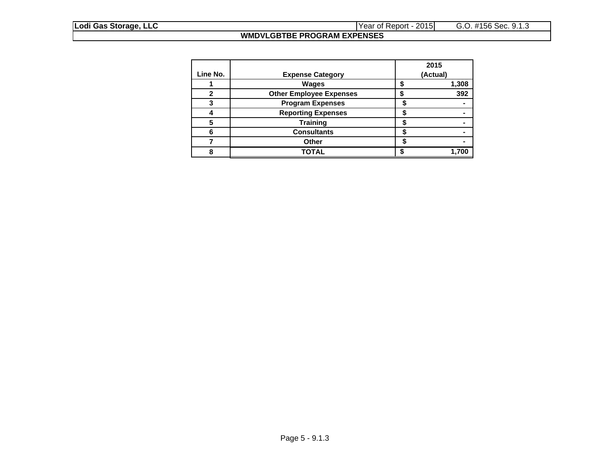### **WMDVLGBTBE PROGRAM EXPENSES**

|          |                                |   | 2015     |
|----------|--------------------------------|---|----------|
| Line No. | <b>Expense Category</b>        |   | (Actual) |
|          | <b>Wages</b>                   |   | 1,308    |
| ŋ        | <b>Other Employee Expenses</b> |   | 392      |
|          | <b>Program Expenses</b>        |   |          |
|          | <b>Reporting Expenses</b>      |   |          |
|          | <b>Training</b>                |   |          |
|          | <b>Consultants</b>             |   |          |
|          | Other                          | æ |          |
|          | TOTAL                          |   |          |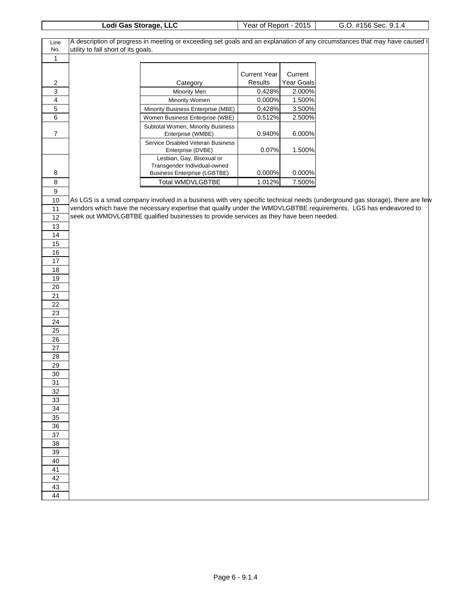|                         |                                     | Lodi Gas Storage, LLC                                                                  | Year of Report - 2015 |            | G.O. #156 Sec. 9.1.4                                                                                                         |
|-------------------------|-------------------------------------|----------------------------------------------------------------------------------------|-----------------------|------------|------------------------------------------------------------------------------------------------------------------------------|
| Line                    |                                     |                                                                                        |                       |            | A description of progress in meeting or exceeding set goals and an explanation of any circumstances that may have caused t   |
| No.                     | utility to fall short of its goals. |                                                                                        |                       |            |                                                                                                                              |
| 1                       |                                     |                                                                                        |                       |            |                                                                                                                              |
|                         |                                     |                                                                                        |                       |            |                                                                                                                              |
|                         |                                     |                                                                                        | <b>Current Year</b>   | Current    |                                                                                                                              |
| $\overline{\mathbf{c}}$ |                                     | Category                                                                               | Results               | Year Goals |                                                                                                                              |
| 3                       |                                     | Minority Men                                                                           | 0.428%                | 2.000%     |                                                                                                                              |
| 4                       |                                     | Minority Women                                                                         | 0.000%                | 1.500%     |                                                                                                                              |
| 5                       |                                     | Minority Business Enterprise (MBE)                                                     | 0.428%                | 3.500%     |                                                                                                                              |
| 6                       |                                     | Women Business Enterprise (WBE)                                                        | 0.512%                | 2.500%     |                                                                                                                              |
| $\overline{7}$          |                                     | Subtotal Women, Minority Business<br>Enterprise (WMBE)                                 | 0.940%                | 6.000%     |                                                                                                                              |
|                         |                                     | Service Disabled Veteran Business<br>Enterprise (DVBE)                                 | 0.07%                 | 1.500%     |                                                                                                                              |
|                         |                                     | Lesbian, Gay, Bisexual or                                                              |                       |            |                                                                                                                              |
|                         |                                     | Transgender Individual-owned                                                           |                       |            |                                                                                                                              |
| 8                       |                                     | <b>Business Enterprise (LGBTBE)</b>                                                    | 0.000%                | 0.000%     |                                                                                                                              |
| 8                       |                                     | Total WMDVLGBTBE                                                                       | 1.012%                | 7.500%     |                                                                                                                              |
| $\boldsymbol{9}$        |                                     |                                                                                        |                       |            |                                                                                                                              |
| 10                      |                                     |                                                                                        |                       |            | As LGS is a small company involved in a business with very specific technical needs (underground gas storage), there are few |
| 11                      |                                     |                                                                                        |                       |            | vendors which have the necessary expertise that qualify under the WMDVLGBTBE requirements. LGS has endeavored to             |
| 12                      |                                     | seek out WMDVLGBTBE qualified businesses to provide services as they have been needed. |                       |            |                                                                                                                              |
| 13                      |                                     |                                                                                        |                       |            |                                                                                                                              |
| 14                      |                                     |                                                                                        |                       |            |                                                                                                                              |
| 15                      |                                     |                                                                                        |                       |            |                                                                                                                              |
| 16                      |                                     |                                                                                        |                       |            |                                                                                                                              |
| $17$                    |                                     |                                                                                        |                       |            |                                                                                                                              |
| 18<br>19                |                                     |                                                                                        |                       |            |                                                                                                                              |
| 20                      |                                     |                                                                                        |                       |            |                                                                                                                              |
| 21                      |                                     |                                                                                        |                       |            |                                                                                                                              |
| 22                      |                                     |                                                                                        |                       |            |                                                                                                                              |
| 23                      |                                     |                                                                                        |                       |            |                                                                                                                              |
| 24                      |                                     |                                                                                        |                       |            |                                                                                                                              |
| 25                      |                                     |                                                                                        |                       |            |                                                                                                                              |
| 26                      |                                     |                                                                                        |                       |            |                                                                                                                              |
| 27                      |                                     |                                                                                        |                       |            |                                                                                                                              |
| 28                      |                                     |                                                                                        |                       |            |                                                                                                                              |
| 29                      |                                     |                                                                                        |                       |            |                                                                                                                              |
| 30                      |                                     |                                                                                        |                       |            |                                                                                                                              |
| 31                      |                                     |                                                                                        |                       |            |                                                                                                                              |
| 32                      |                                     |                                                                                        |                       |            |                                                                                                                              |
| 33                      |                                     |                                                                                        |                       |            |                                                                                                                              |
| 34                      |                                     |                                                                                        |                       |            |                                                                                                                              |
| 35                      |                                     |                                                                                        |                       |            |                                                                                                                              |
| 36                      |                                     |                                                                                        |                       |            |                                                                                                                              |
| 37                      |                                     |                                                                                        |                       |            |                                                                                                                              |
| 38                      |                                     |                                                                                        |                       |            |                                                                                                                              |
| 39                      |                                     |                                                                                        |                       |            |                                                                                                                              |
| 40                      |                                     |                                                                                        |                       |            |                                                                                                                              |
| 41                      |                                     |                                                                                        |                       |            |                                                                                                                              |
| 42                      |                                     |                                                                                        |                       |            |                                                                                                                              |
| 43                      |                                     |                                                                                        |                       |            |                                                                                                                              |
| 44                      |                                     |                                                                                        |                       |            |                                                                                                                              |
|                         |                                     |                                                                                        |                       |            |                                                                                                                              |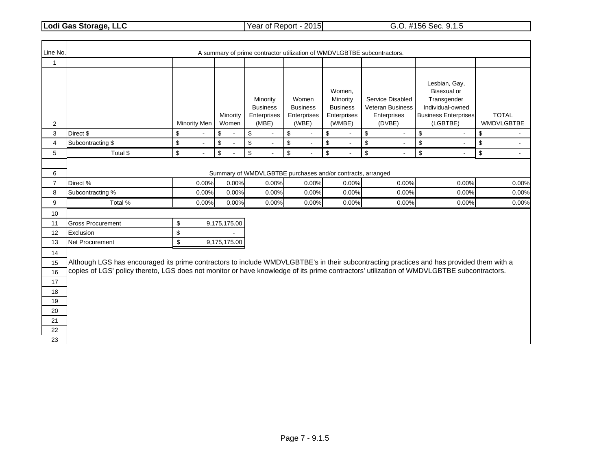**Lodi Gas Storage, LLC** Year of Report - 2015 G.O. #156 Sec. 9.1.5

| Line No.            |                                                                                                                                           |                      |                      |                                                     |                                                  |                                                                     | A summary of prime contractor utilization of WMDVLGBTBE subcontractors. |                                                                                                            |                            |
|---------------------|-------------------------------------------------------------------------------------------------------------------------------------------|----------------------|----------------------|-----------------------------------------------------|--------------------------------------------------|---------------------------------------------------------------------|-------------------------------------------------------------------------|------------------------------------------------------------------------------------------------------------|----------------------------|
| 1                   |                                                                                                                                           |                      |                      |                                                     |                                                  |                                                                     |                                                                         |                                                                                                            |                            |
| $\overline{2}$      |                                                                                                                                           | Minority Men         | Minority<br>Women    | Minority<br><b>Business</b><br>Enterprises<br>(MBE) | Women<br><b>Business</b><br>Enterprises<br>(WBE) | Women,<br>Minority<br><b>Business</b><br>Enterprises<br>(WMBE)      | Service Disabled<br>Veteran Business<br>Enterprises<br>(DVBE)           | Lesbian, Gay,<br>Bisexual or<br>Transgender<br>Individual-owned<br><b>Business Enterprises</b><br>(LGBTBE) | <b>TOTAL</b><br>WMDVLGBTBE |
| 3                   | Direct \$                                                                                                                                 | \$                   | \$                   | \$<br>$\blacksquare$                                | \$                                               | \$                                                                  | \$<br>$\blacksquare$                                                    | \$<br>$\blacksquare$                                                                                       | \$                         |
| $\overline{4}$      | Subcontracting \$                                                                                                                         | \$<br>$\blacksquare$ | \$<br>$\overline{a}$ | \$<br>$\omega$                                      | \$<br>$\blacksquare$                             | \$<br>$\blacksquare$                                                | $\boldsymbol{\$}$<br>$\blacksquare$                                     | $\,$<br>$\blacksquare$                                                                                     | \$<br>$\blacksquare$       |
| 5                   | Total \$                                                                                                                                  | \$<br>$\blacksquare$ | \$                   | \$<br>$\blacksquare$                                | \$                                               | \$<br>$\blacksquare$                                                | $\boldsymbol{\mathsf{S}}$<br>$\overline{\phantom{a}}$                   | \$<br>$\blacksquare$                                                                                       | \$                         |
| 6<br>$\overline{7}$ | Direct %                                                                                                                                  | 0.00%                | 0.00%                | 0.00%                                               | 0.00%                                            | Summary of WMDVLGBTBE purchases and/or contracts, arranged<br>0.00% | 0.00%                                                                   | 0.00%                                                                                                      | 0.00%                      |
| 8                   | Subcontracting %                                                                                                                          | 0.00%                | 0.00%                | 0.00%                                               | 0.00%                                            | 0.00%                                                               | 0.00%                                                                   | 0.00%                                                                                                      | 0.00%                      |
| 9                   | Total %                                                                                                                                   | 0.00%                | 0.00%                | 0.00%                                               | 0.00%                                            | 0.00%                                                               | 0.00%                                                                   | 0.00%                                                                                                      | 0.00%                      |
| 10                  |                                                                                                                                           |                      |                      |                                                     |                                                  |                                                                     |                                                                         |                                                                                                            |                            |
| 11                  | <b>Gross Procurement</b>                                                                                                                  | \$                   | 9,175,175.00         |                                                     |                                                  |                                                                     |                                                                         |                                                                                                            |                            |
| 12                  | Exclusion                                                                                                                                 | \$                   |                      |                                                     |                                                  |                                                                     |                                                                         |                                                                                                            |                            |
| 13                  | Net Procurement                                                                                                                           | \$                   | 9,175,175.00         |                                                     |                                                  |                                                                     |                                                                         |                                                                                                            |                            |
| 14                  |                                                                                                                                           |                      |                      |                                                     |                                                  |                                                                     |                                                                         |                                                                                                            |                            |
| 15                  | Although LGS has encouraged its prime contractors to include WMDVLGBTBE's in their subcontracting practices and has provided them with a  |                      |                      |                                                     |                                                  |                                                                     |                                                                         |                                                                                                            |                            |
| 16                  | copies of LGS' policy thereto, LGS does not monitor or have knowledge of its prime contractors' utilization of WMDVLGBTBE subcontractors. |                      |                      |                                                     |                                                  |                                                                     |                                                                         |                                                                                                            |                            |
| 17                  |                                                                                                                                           |                      |                      |                                                     |                                                  |                                                                     |                                                                         |                                                                                                            |                            |
| 18                  |                                                                                                                                           |                      |                      |                                                     |                                                  |                                                                     |                                                                         |                                                                                                            |                            |
| 19                  |                                                                                                                                           |                      |                      |                                                     |                                                  |                                                                     |                                                                         |                                                                                                            |                            |
| 20                  |                                                                                                                                           |                      |                      |                                                     |                                                  |                                                                     |                                                                         |                                                                                                            |                            |
| 21<br>22            |                                                                                                                                           |                      |                      |                                                     |                                                  |                                                                     |                                                                         |                                                                                                            |                            |
| 23                  |                                                                                                                                           |                      |                      |                                                     |                                                  |                                                                     |                                                                         |                                                                                                            |                            |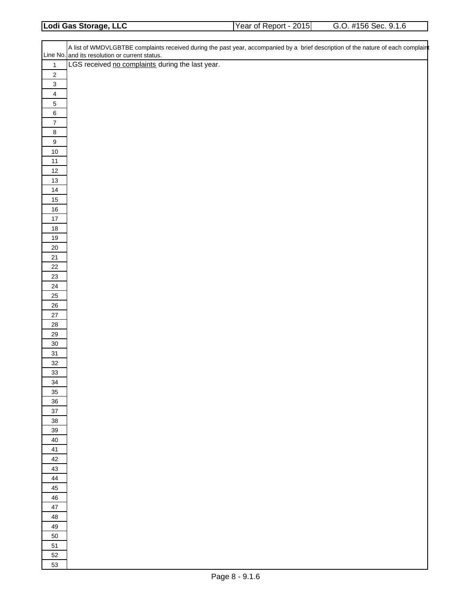| 2015<br>Lodi Gas Storage, LLC<br>#156 Sec. 9.1.6<br>Year of Report - $\sim$ |  |  |
|-----------------------------------------------------------------------------|--|--|
|                                                                             |  |  |

|                             | A list of WMDVLGBTBE complaints received during the past year, accompanied by a brief description of the nature of each complaint |
|-----------------------------|-----------------------------------------------------------------------------------------------------------------------------------|
|                             | Line No. and its resolution or current status.                                                                                    |
| $\mathbf{1}$                | LGS received no complaints during the last year.                                                                                  |
| $\sqrt{2}$                  |                                                                                                                                   |
| $\mathbf 3$                 |                                                                                                                                   |
| $\overline{\mathbf{4}}$     |                                                                                                                                   |
| $\,$ 5 $\,$                 |                                                                                                                                   |
| $\,6\,$<br>$\boldsymbol{7}$ |                                                                                                                                   |
| $\bf 8$                     |                                                                                                                                   |
| $\boldsymbol{9}$            |                                                                                                                                   |
| $10\,$                      |                                                                                                                                   |
| $11$                        |                                                                                                                                   |
| $12\,$                      |                                                                                                                                   |
| $13\,$                      |                                                                                                                                   |
| $14$                        |                                                                                                                                   |
| $15\,$<br>$16\,$            |                                                                                                                                   |
| $17\,$                      |                                                                                                                                   |
| $18\,$                      |                                                                                                                                   |
| $19$                        |                                                                                                                                   |
| $20\,$                      |                                                                                                                                   |
| $21\,$                      |                                                                                                                                   |
| $22\,$                      |                                                                                                                                   |
| $23\,$                      |                                                                                                                                   |
| $24\,$                      |                                                                                                                                   |
| 25<br>$26\,$                |                                                                                                                                   |
| $27\,$                      |                                                                                                                                   |
| ${\bf 28}$                  |                                                                                                                                   |
| $29\,$                      |                                                                                                                                   |
| $30\,$                      |                                                                                                                                   |
| 31                          |                                                                                                                                   |
| $32\,$                      |                                                                                                                                   |
| 33                          |                                                                                                                                   |
| 34                          |                                                                                                                                   |
| 35<br>36                    |                                                                                                                                   |
| $37\,$                      |                                                                                                                                   |
| 38                          |                                                                                                                                   |
| 39                          |                                                                                                                                   |
| $40\,$                      |                                                                                                                                   |
| 41                          |                                                                                                                                   |
| 42                          |                                                                                                                                   |
| 43                          |                                                                                                                                   |
| 44<br>45                    |                                                                                                                                   |
| 46                          |                                                                                                                                   |
| $47\,$                      |                                                                                                                                   |
| 48                          |                                                                                                                                   |
| 49                          |                                                                                                                                   |
| 50                          |                                                                                                                                   |
| 51                          |                                                                                                                                   |
| 52                          |                                                                                                                                   |
| 53                          |                                                                                                                                   |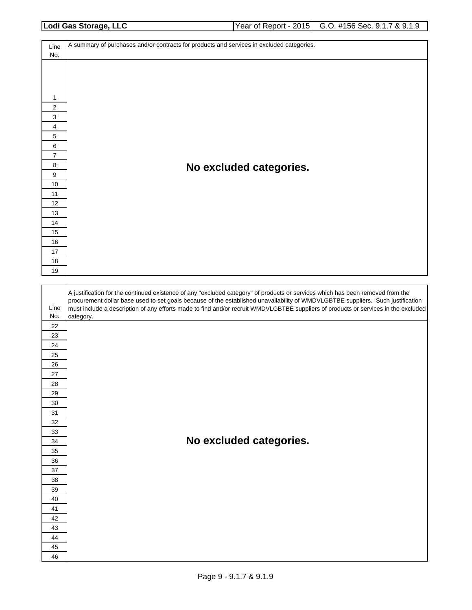| Lodi Gas Storage, LLC | Year of Report - 2015 G.O. #156 Sec. 9.1.7 & 9.1.9 |
|-----------------------|----------------------------------------------------|
|                       |                                                    |

A summary of purchases and/or contracts for products and services in excluded categories. Line No. **No excluded categories.** A justification for the continued existence of any "excluded category" of products or services which has been removed from the procurement dollar base used to set goals because of the established unavailability of WMDVLGBTBE suppliers. Such justification Line must include a description of any efforts made to find and/or recruit WMDVLGBTBE suppliers of products or services in the excluded No. category. **No excluded categories.**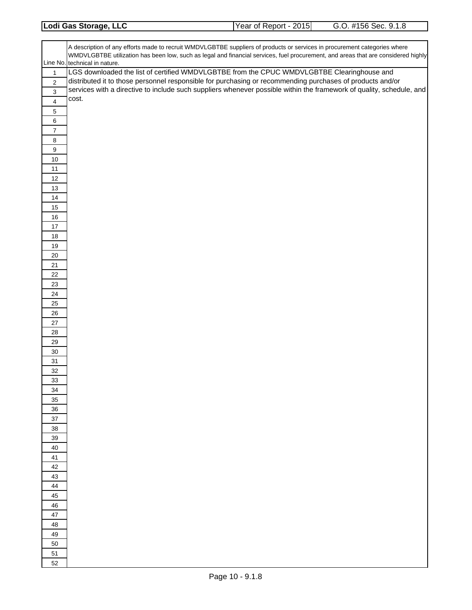| Lodi Gas Storage, LLC | 2015<br>Year of Report - $\epsilon$ . | #156 Sec. 9.1.8 |
|-----------------------|---------------------------------------|-----------------|
|                       |                                       |                 |

|                  | A description of any efforts made to recruit WMDVLGBTBE suppliers of products or services in procurement categories where<br>WMDVLGBTBE utilization has been low, such as legal and financial services, fuel procurement, and areas that are considered highly<br>Line No. technical in nature. |
|------------------|-------------------------------------------------------------------------------------------------------------------------------------------------------------------------------------------------------------------------------------------------------------------------------------------------|
| $\mathbf{1}$     | LGS downloaded the list of certified WMDVLGBTBE from the CPUC WMDVLGBTBE Clearinghouse and                                                                                                                                                                                                      |
| $\overline{2}$   | distributed it to those personnel responsible for purchasing or recommending purchases of products and/or                                                                                                                                                                                       |
|                  | services with a directive to include such suppliers whenever possible within the framework of quality, schedule, and                                                                                                                                                                            |
| $\mathbf{3}$     |                                                                                                                                                                                                                                                                                                 |
| $\overline{4}$   | cost.                                                                                                                                                                                                                                                                                           |
| $\,$ 5 $\,$      |                                                                                                                                                                                                                                                                                                 |
| 6                |                                                                                                                                                                                                                                                                                                 |
| $\boldsymbol{7}$ |                                                                                                                                                                                                                                                                                                 |
| 8                |                                                                                                                                                                                                                                                                                                 |
| 9                |                                                                                                                                                                                                                                                                                                 |
| 10               |                                                                                                                                                                                                                                                                                                 |
|                  |                                                                                                                                                                                                                                                                                                 |
| 11               |                                                                                                                                                                                                                                                                                                 |
| 12               |                                                                                                                                                                                                                                                                                                 |
| 13               |                                                                                                                                                                                                                                                                                                 |
| 14               |                                                                                                                                                                                                                                                                                                 |
| 15               |                                                                                                                                                                                                                                                                                                 |
| $16\,$           |                                                                                                                                                                                                                                                                                                 |
| 17               |                                                                                                                                                                                                                                                                                                 |
| $18\,$           |                                                                                                                                                                                                                                                                                                 |
| $19$             |                                                                                                                                                                                                                                                                                                 |
| 20               |                                                                                                                                                                                                                                                                                                 |
| 21               |                                                                                                                                                                                                                                                                                                 |
| 22               |                                                                                                                                                                                                                                                                                                 |
| 23               |                                                                                                                                                                                                                                                                                                 |
|                  |                                                                                                                                                                                                                                                                                                 |
| 24               |                                                                                                                                                                                                                                                                                                 |
| 25               |                                                                                                                                                                                                                                                                                                 |
| 26               |                                                                                                                                                                                                                                                                                                 |
| 27               |                                                                                                                                                                                                                                                                                                 |
| 28               |                                                                                                                                                                                                                                                                                                 |
| 29               |                                                                                                                                                                                                                                                                                                 |
| $30\,$           |                                                                                                                                                                                                                                                                                                 |
| 31               |                                                                                                                                                                                                                                                                                                 |
| 32               |                                                                                                                                                                                                                                                                                                 |
| 33               |                                                                                                                                                                                                                                                                                                 |
| 34               |                                                                                                                                                                                                                                                                                                 |
| 35               |                                                                                                                                                                                                                                                                                                 |
| 36               |                                                                                                                                                                                                                                                                                                 |
| 37               |                                                                                                                                                                                                                                                                                                 |
| 38               |                                                                                                                                                                                                                                                                                                 |
| 39               |                                                                                                                                                                                                                                                                                                 |
| 40               |                                                                                                                                                                                                                                                                                                 |
| 41               |                                                                                                                                                                                                                                                                                                 |
|                  |                                                                                                                                                                                                                                                                                                 |
| 42               |                                                                                                                                                                                                                                                                                                 |
| 43               |                                                                                                                                                                                                                                                                                                 |
| 44               |                                                                                                                                                                                                                                                                                                 |
| 45               |                                                                                                                                                                                                                                                                                                 |
| 46               |                                                                                                                                                                                                                                                                                                 |
| 47               |                                                                                                                                                                                                                                                                                                 |
| 48               |                                                                                                                                                                                                                                                                                                 |
| 49               |                                                                                                                                                                                                                                                                                                 |
| 50               |                                                                                                                                                                                                                                                                                                 |
| 51               |                                                                                                                                                                                                                                                                                                 |
| 52               |                                                                                                                                                                                                                                                                                                 |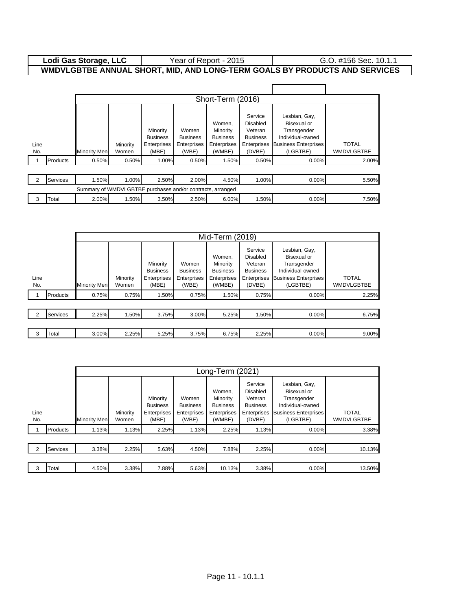#### Year of Report - 2015 (G.O. #156 Sec. 10.1.1) **Lodi Gas Storage, LLC WMDVLGBTBE ANNUAL SHORT, MID, AND LONG-TERM GOALS BY PRODUCTS AND SERVICES**

| Short-Term (2016) |                 |                                                            |                   |                                                     |                                                         |                                                                |                                                                                   |                                                                                                                   |                                   |
|-------------------|-----------------|------------------------------------------------------------|-------------------|-----------------------------------------------------|---------------------------------------------------------|----------------------------------------------------------------|-----------------------------------------------------------------------------------|-------------------------------------------------------------------------------------------------------------------|-----------------------------------|
| Line<br>No.       |                 | <b>Minority Men</b>                                        | Minority<br>Women | Minority<br><b>Business</b><br>Enterprises<br>(MBE) | Women<br><b>Business</b><br><b>Enterprises</b><br>(WBE) | Women,<br>Minority<br><b>Business</b><br>Enterprises<br>(WMBE) | Service<br><b>Disabled</b><br>Veteran<br><b>Business</b><br>Enterprises<br>(DVBE) | Lesbian, Gay,<br><b>Bisexual or</b><br>Transgender<br>Individual-owned<br><b>Business Enterprises</b><br>(LGBTBE) | <b>TOTAL</b><br><b>WMDVLGBTBE</b> |
|                   | Products        | 0.50%                                                      | 0.50%             | 1.00%                                               | 0.50%                                                   | 1.50%                                                          | 0.50%                                                                             | $0.00\%$                                                                                                          | 2.00%                             |
|                   |                 |                                                            |                   |                                                     |                                                         |                                                                |                                                                                   |                                                                                                                   |                                   |
| 2                 | <b>Services</b> | .50%                                                       | 1.00%             | 2.50%                                               | 2.00%                                                   | 4.50%                                                          | 1.00%                                                                             | 0.00%                                                                                                             | 5.50%                             |
|                   |                 | Summary of WMDVLGBTBE purchases and/or contracts, arranged |                   |                                                     |                                                         |                                                                |                                                                                   |                                                                                                                   |                                   |
| 3                 | Total           | 2.00%                                                      | 1.50%             | 3.50%                                               | 2.50%                                                   | 6.00%                                                          | 1.50%                                                                             | 0.00%                                                                                                             | 7.50%                             |

|               |                 | Mid-Term (2019)     |                   |                                                     |                                                  |                                                                |                                                                                   |                                                                                                            |                                   |
|---------------|-----------------|---------------------|-------------------|-----------------------------------------------------|--------------------------------------------------|----------------------------------------------------------------|-----------------------------------------------------------------------------------|------------------------------------------------------------------------------------------------------------|-----------------------------------|
| Line<br>No.   |                 | <b>Minority Men</b> | Minority<br>Women | Minority<br><b>Business</b><br>Enterprises<br>(MBE) | Women<br><b>Business</b><br>Enterprises<br>(WBE) | Women,<br>Minority<br><b>Business</b><br>Enterprises<br>(WMBE) | Service<br><b>Disabled</b><br>Veteran<br><b>Business</b><br>Enterprises<br>(DVBE) | Lesbian, Gay,<br>Bisexual or<br>Transgender<br>Individual-owned<br><b>Business Enterprises</b><br>(LGBTBE) | <b>TOTAL</b><br><b>WMDVLGBTBE</b> |
|               | Products        | 0.75%               | 0.75%             | 1.50%                                               | 0.75%                                            | 1.50%                                                          | 0.75%                                                                             | $0.00\%$                                                                                                   | 2.25%                             |
|               |                 |                     |                   |                                                     |                                                  |                                                                |                                                                                   |                                                                                                            |                                   |
| $\mathcal{P}$ | <b>Services</b> | 2.25%               | 1.50%             | 3.75%                                               | 3.00%                                            | 5.25%                                                          | 1.50%                                                                             | 0.00%                                                                                                      | 6.75%                             |
|               |                 |                     |                   |                                                     |                                                  |                                                                |                                                                                   |                                                                                                            |                                   |
| 3             | Гоtal           | 3.00%               | 2.25%             | 5.25%                                               | 3.75%                                            | 6.75%                                                          | 2.25%                                                                             | 0.00%                                                                                                      | 9.00%                             |

|               |                 |              | Long-Term (2021)  |                                                     |                                                  |                                                                |                                                                            |                                                                                                            |                                   |
|---------------|-----------------|--------------|-------------------|-----------------------------------------------------|--------------------------------------------------|----------------------------------------------------------------|----------------------------------------------------------------------------|------------------------------------------------------------------------------------------------------------|-----------------------------------|
| Line<br>No.   |                 | Minority Men | Minority<br>Women | Minority<br><b>Business</b><br>Enterprises<br>(MBE) | Women<br><b>Business</b><br>Enterprises<br>(WBE) | Women,<br>Minority<br><b>Business</b><br>Enterprises<br>(WMBE) | Service<br>Disabled<br>Veteran<br><b>Business</b><br>Enterprises<br>(DVBE) | Lesbian, Gay,<br>Bisexual or<br>Transgender<br>Individual-owned<br><b>Business Enterprises</b><br>(LGBTBE) | <b>TOTAL</b><br><b>WMDVLGBTBE</b> |
|               | Products        | 1.13%        | 1.13%             | 2.25%                                               | 1.13%                                            | 2.25%                                                          | 1.13%                                                                      | 0.00%                                                                                                      | 3.38%                             |
|               |                 |              |                   |                                                     |                                                  |                                                                |                                                                            |                                                                                                            |                                   |
| $\mathcal{P}$ | <b>Services</b> | 3.38%        | 2.25%             | 5.63%                                               | 4.50%                                            | 7.88%                                                          | 2.25%                                                                      | 0.00%                                                                                                      | 10.13%                            |
|               |                 |              |                   |                                                     |                                                  |                                                                |                                                                            |                                                                                                            |                                   |
| 3             | Total           | 4.50%        | 3.38%             | 7.88%                                               | 5.63%                                            | 10.13%                                                         | 3.38%                                                                      | 0.00%                                                                                                      | 13.50%                            |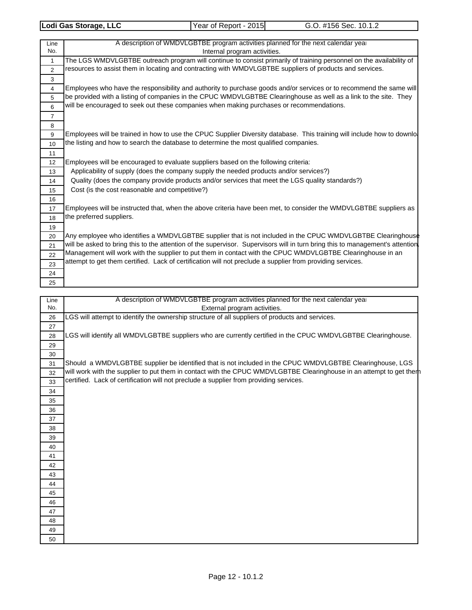| Line           | A description of WMDVLGBTBE program activities planned for the next calendar year                                             |
|----------------|-------------------------------------------------------------------------------------------------------------------------------|
| No.            | Internal program activities.                                                                                                  |
| 1              | The LGS WMDVLGBTBE outreach program will continue to consist primarily of training personnel on the availability of           |
| $\overline{2}$ | resources to assist them in locating and contracting with WMDVLGBTBE suppliers of products and services.                      |
| 3              |                                                                                                                               |
| 4              | Employees who have the responsibility and authority to purchase goods and/or services or to recommend the same will           |
| 5              | be provided with a listing of companies in the CPUC WMDVLGBTBE Clearinghouse as well as a link to the site. They              |
| 6              | will be encouraged to seek out these companies when making purchases or recommendations.                                      |
| $\overline{7}$ |                                                                                                                               |
| 8              |                                                                                                                               |
| 9              | Employees will be trained in how to use the CPUC Supplier Diversity database. This training will include how to downlo        |
| 10             | the listing and how to search the database to determine the most qualified companies.                                         |
| 11             |                                                                                                                               |
| 12             | Employees will be encouraged to evaluate suppliers based on the following criteria:                                           |
| 13             | Applicability of supply (does the company supply the needed products and/or services?)                                        |
| 14             | Quality (does the company provide products and/or services that meet the LGS quality standards?)                              |
| 15             | Cost (is the cost reasonable and competitive?)                                                                                |
| 16             |                                                                                                                               |
| 17             | Employees will be instructed that, when the above criteria have been met, to consider the WMDVLGBTBE suppliers as             |
| 18             | the preferred suppliers.                                                                                                      |
| 19             |                                                                                                                               |
| 20             | Any employee who identifies a WMDVLGBTBE supplier that is not included in the CPUC WMDVLGBTBE Clearinghouse                   |
| 21             | will be asked to bring this to the attention of the supervisor. Supervisors will in turn bring this to management's attention |
| 22             | Management will work with the supplier to put them in contact with the CPUC WMDVLGBTBE Clearinghouse in an                    |
| 23             | attempt to get them certified. Lack of certification will not preclude a supplier from providing services.                    |
| 24             |                                                                                                                               |
| 25             |                                                                                                                               |

| Line | A description of WMDVLGBTBE program activities planned for the next calendar year                                    |  |  |  |  |  |
|------|----------------------------------------------------------------------------------------------------------------------|--|--|--|--|--|
| No.  | External program activities.                                                                                         |  |  |  |  |  |
| 26   | LGS will attempt to identify the ownership structure of all suppliers of products and services.                      |  |  |  |  |  |
| 27   |                                                                                                                      |  |  |  |  |  |
| 28   | LGS will identify all WMDVLGBTBE suppliers who are currently certified in the CPUC WMDVLGBTBE Clearinghouse.         |  |  |  |  |  |
| 29   |                                                                                                                      |  |  |  |  |  |
| 30   |                                                                                                                      |  |  |  |  |  |
| 31   | Should a WMDVLGBTBE supplier be identified that is not included in the CPUC WMDVLGBTBE Clearinghouse, LGS            |  |  |  |  |  |
| 32   | will work with the supplier to put them in contact with the CPUC WMDVLGBTBE Clearinghouse in an attempt to get thern |  |  |  |  |  |
| 33   | certified. Lack of certification will not preclude a supplier from providing services.                               |  |  |  |  |  |
| 34   |                                                                                                                      |  |  |  |  |  |
| 35   |                                                                                                                      |  |  |  |  |  |
| 36   |                                                                                                                      |  |  |  |  |  |
| 37   |                                                                                                                      |  |  |  |  |  |
| 38   |                                                                                                                      |  |  |  |  |  |
| 39   |                                                                                                                      |  |  |  |  |  |
| 40   |                                                                                                                      |  |  |  |  |  |
| 41   |                                                                                                                      |  |  |  |  |  |
| 42   |                                                                                                                      |  |  |  |  |  |
| 43   |                                                                                                                      |  |  |  |  |  |
| 44   |                                                                                                                      |  |  |  |  |  |
| 45   |                                                                                                                      |  |  |  |  |  |
| 46   |                                                                                                                      |  |  |  |  |  |
| 47   |                                                                                                                      |  |  |  |  |  |
| 48   |                                                                                                                      |  |  |  |  |  |
| 49   |                                                                                                                      |  |  |  |  |  |
| 50   |                                                                                                                      |  |  |  |  |  |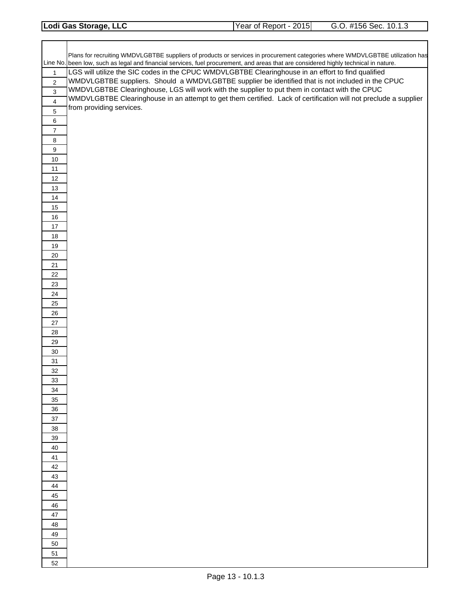| Lodi Gas Storage, LLC | Year of Report - 2015 | G.O. #156 Sec. 10.1.3 |
|-----------------------|-----------------------|-----------------------|
|                       |                       |                       |

|                           | Plans for recruiting WMDVLGBTBE suppliers of products or services in procurement categories where WMDVLGBTBE utilization has         |
|---------------------------|--------------------------------------------------------------------------------------------------------------------------------------|
|                           | Line No. been low, such as legal and financial services, fuel procurement, and areas that are considered highly technical in nature. |
| $\mathbf{1}$              | LGS will utilize the SIC codes in the CPUC WMDVLGBTBE Clearinghouse in an effort to find qualified                                   |
| $\boldsymbol{2}$          | WMDVLGBTBE suppliers. Should a WMDVLGBTBE supplier be identified that is not included in the CPUC                                    |
| $\ensuremath{\mathsf{3}}$ | WMDVLGBTBE Clearinghouse, LGS will work with the supplier to put them in contact with the CPUC                                       |
| $\overline{4}$            | WMDVLGBTBE Clearinghouse in an attempt to get them certified. Lack of certification will not preclude a supplier                     |
| $\sqrt{5}$                | from providing services.                                                                                                             |
| 6                         |                                                                                                                                      |
| $\boldsymbol{7}$          |                                                                                                                                      |
| 8                         |                                                                                                                                      |
| $\boldsymbol{9}$          |                                                                                                                                      |
| 10                        |                                                                                                                                      |
| 11<br>12                  |                                                                                                                                      |
| 13                        |                                                                                                                                      |
| 14                        |                                                                                                                                      |
| 15                        |                                                                                                                                      |
| 16                        |                                                                                                                                      |
| $17$                      |                                                                                                                                      |
| 18                        |                                                                                                                                      |
| 19                        |                                                                                                                                      |
| $20\,$                    |                                                                                                                                      |
| 21                        |                                                                                                                                      |
| 22                        |                                                                                                                                      |
| 23                        |                                                                                                                                      |
| 24                        |                                                                                                                                      |
| 25                        |                                                                                                                                      |
| 26<br>27                  |                                                                                                                                      |
| 28                        |                                                                                                                                      |
| 29                        |                                                                                                                                      |
| 30                        |                                                                                                                                      |
| 31                        |                                                                                                                                      |
| 32                        |                                                                                                                                      |
| 33                        |                                                                                                                                      |
| 34                        |                                                                                                                                      |
| 35                        |                                                                                                                                      |
| 36                        |                                                                                                                                      |
| 37                        |                                                                                                                                      |
| 38                        |                                                                                                                                      |
| 39                        |                                                                                                                                      |
| 40<br>41                  |                                                                                                                                      |
| 42                        |                                                                                                                                      |
| 43                        |                                                                                                                                      |
| 44                        |                                                                                                                                      |
| 45                        |                                                                                                                                      |
| 46                        |                                                                                                                                      |
| 47                        |                                                                                                                                      |
| 48                        |                                                                                                                                      |
| 49                        |                                                                                                                                      |
| 50                        |                                                                                                                                      |
| 51                        |                                                                                                                                      |
| 52                        |                                                                                                                                      |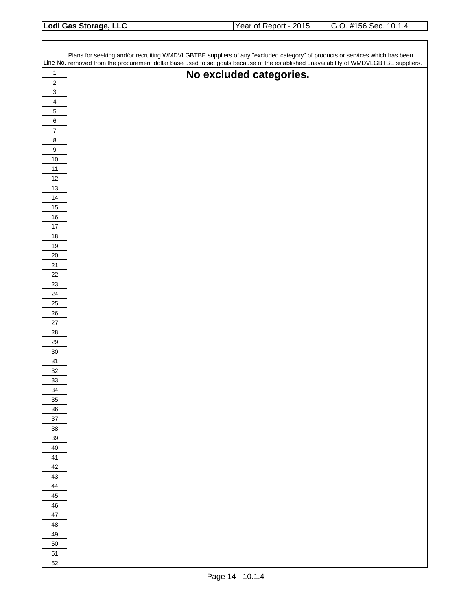| Lodi Gas Storage, LLC | Year of Report - 2015 | G.O. #156 Sec. 10.1.4 |
|-----------------------|-----------------------|-----------------------|
|                       |                       |                       |

|                                                      | Plans for seeking and/or recruiting WMDVLGBTBE suppliers of any "excluded category" of products or services which has been             |
|------------------------------------------------------|----------------------------------------------------------------------------------------------------------------------------------------|
|                                                      | Line No. removed from the procurement dollar base used to set goals because of the established unavailability of WMDVLGBTBE suppliers. |
| $\mathbf{1}$                                         | No excluded categories.                                                                                                                |
| $\sqrt{2}$                                           |                                                                                                                                        |
| $\ensuremath{\mathsf{3}}$<br>$\overline{\mathbf{4}}$ |                                                                                                                                        |
| $\overline{5}$                                       |                                                                                                                                        |
| $\,6\,$                                              |                                                                                                                                        |
| $\overline{7}$                                       |                                                                                                                                        |
| $\bf 8$                                              |                                                                                                                                        |
| $\boldsymbol{9}$                                     |                                                                                                                                        |
| $10\,$                                               |                                                                                                                                        |
| 11                                                   |                                                                                                                                        |
| $12\,$                                               |                                                                                                                                        |
| $13$                                                 |                                                                                                                                        |
| $14$                                                 |                                                                                                                                        |
| $15\,$<br>$16\,$                                     |                                                                                                                                        |
| $17\,$                                               |                                                                                                                                        |
| $18\,$                                               |                                                                                                                                        |
| $19$                                                 |                                                                                                                                        |
| $20\,$                                               |                                                                                                                                        |
| 21                                                   |                                                                                                                                        |
| 22                                                   |                                                                                                                                        |
| 23                                                   |                                                                                                                                        |
| 24                                                   |                                                                                                                                        |
| 25                                                   |                                                                                                                                        |
| $26\,$<br>$27\,$                                     |                                                                                                                                        |
| 28                                                   |                                                                                                                                        |
| 29                                                   |                                                                                                                                        |
| $30\,$                                               |                                                                                                                                        |
| 31                                                   |                                                                                                                                        |
| 32                                                   |                                                                                                                                        |
| 33                                                   |                                                                                                                                        |
| 34                                                   |                                                                                                                                        |
| 35                                                   |                                                                                                                                        |
| 36                                                   |                                                                                                                                        |
| $37\,$<br>38                                         |                                                                                                                                        |
| 39                                                   |                                                                                                                                        |
| 40                                                   |                                                                                                                                        |
| 41                                                   |                                                                                                                                        |
| 42                                                   |                                                                                                                                        |
| 43                                                   |                                                                                                                                        |
| 44                                                   |                                                                                                                                        |
| 45                                                   |                                                                                                                                        |
| 46                                                   |                                                                                                                                        |
| 47                                                   |                                                                                                                                        |
| 48<br>49                                             |                                                                                                                                        |
| 50                                                   |                                                                                                                                        |
| 51                                                   |                                                                                                                                        |
| 52                                                   |                                                                                                                                        |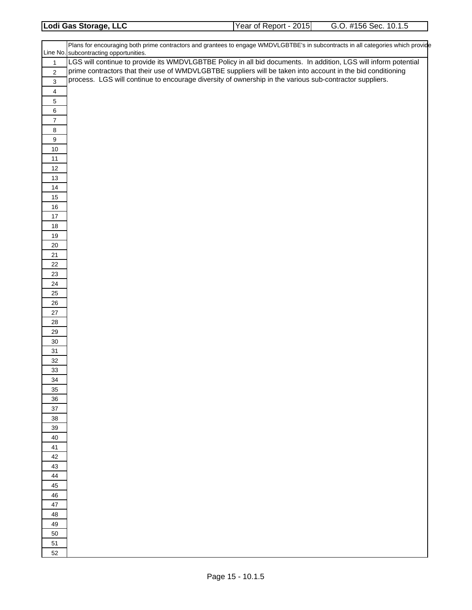| Lodi Gas Storage, LLC | Year of Report - 2015 | #156 Sec.<br>10.1.5<br>G.O |
|-----------------------|-----------------------|----------------------------|
|                       |                       |                            |

|                  | Plans for encouraging both prime contractors and grantees to engage WMDVLGBTBE's in subcontracts in all categories which provide<br>Line No. subcontracting opportunities. |  |  |  |
|------------------|----------------------------------------------------------------------------------------------------------------------------------------------------------------------------|--|--|--|
| $\mathbf{1}$     | LGS will continue to provide its WMDVLGBTBE Policy in all bid documents. In addition, LGS will inform potential                                                            |  |  |  |
| $\overline{2}$   | prime contractors that their use of WMDVLGBTBE suppliers will be taken into account in the bid conditioning                                                                |  |  |  |
| $\sqrt{3}$       | process. LGS will continue to encourage diversity of ownership in the various sub-contractor suppliers.                                                                    |  |  |  |
| $\overline{4}$   |                                                                                                                                                                            |  |  |  |
| $\,$ 5 $\,$      |                                                                                                                                                                            |  |  |  |
| $\,6\,$          |                                                                                                                                                                            |  |  |  |
| $\overline{7}$   |                                                                                                                                                                            |  |  |  |
| $\bf 8$          |                                                                                                                                                                            |  |  |  |
| $\boldsymbol{9}$ |                                                                                                                                                                            |  |  |  |
| $10$             |                                                                                                                                                                            |  |  |  |
| $11$             |                                                                                                                                                                            |  |  |  |
| 12               |                                                                                                                                                                            |  |  |  |
| $13$             |                                                                                                                                                                            |  |  |  |
| 14               |                                                                                                                                                                            |  |  |  |
| 15               |                                                                                                                                                                            |  |  |  |
| 16<br>$17$       |                                                                                                                                                                            |  |  |  |
| $18$             |                                                                                                                                                                            |  |  |  |
| 19               |                                                                                                                                                                            |  |  |  |
| $20\,$           |                                                                                                                                                                            |  |  |  |
| 21               |                                                                                                                                                                            |  |  |  |
| 22               |                                                                                                                                                                            |  |  |  |
| 23               |                                                                                                                                                                            |  |  |  |
| 24               |                                                                                                                                                                            |  |  |  |
| 25               |                                                                                                                                                                            |  |  |  |
| 26               |                                                                                                                                                                            |  |  |  |
| 27               |                                                                                                                                                                            |  |  |  |
| 28               |                                                                                                                                                                            |  |  |  |
| 29<br>$30\,$     |                                                                                                                                                                            |  |  |  |
| 31               |                                                                                                                                                                            |  |  |  |
| $32\,$           |                                                                                                                                                                            |  |  |  |
| 33               |                                                                                                                                                                            |  |  |  |
| 34               |                                                                                                                                                                            |  |  |  |
| 35               |                                                                                                                                                                            |  |  |  |
| 36               |                                                                                                                                                                            |  |  |  |
| $37\,$           |                                                                                                                                                                            |  |  |  |
| 38               |                                                                                                                                                                            |  |  |  |
| 39               |                                                                                                                                                                            |  |  |  |
| 40               |                                                                                                                                                                            |  |  |  |
| 41               |                                                                                                                                                                            |  |  |  |
| 42               |                                                                                                                                                                            |  |  |  |
| 43<br>44         |                                                                                                                                                                            |  |  |  |
| 45               |                                                                                                                                                                            |  |  |  |
| 46               |                                                                                                                                                                            |  |  |  |
| 47               |                                                                                                                                                                            |  |  |  |
| 48               |                                                                                                                                                                            |  |  |  |
| 49               |                                                                                                                                                                            |  |  |  |
| 50               |                                                                                                                                                                            |  |  |  |
| 51               |                                                                                                                                                                            |  |  |  |
| 52               |                                                                                                                                                                            |  |  |  |